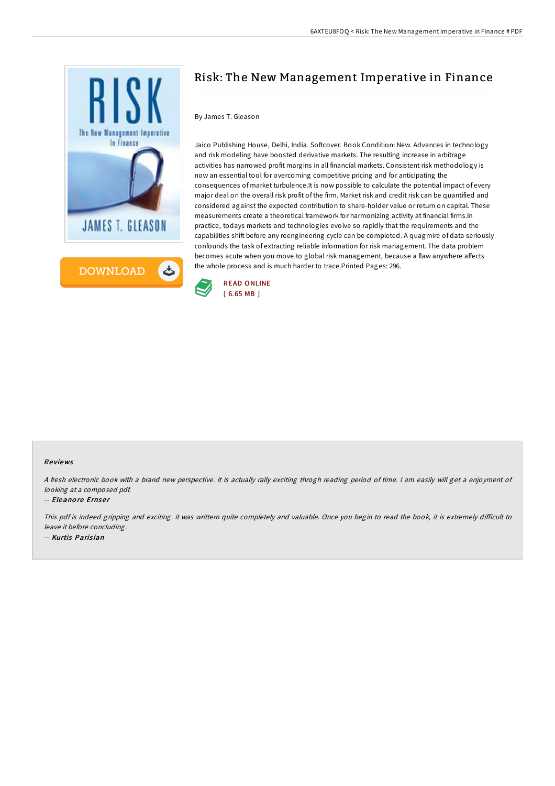

# Risk: The New Management Imperative in Finance

# By James T. Gleason

Jaico Publishing House, Delhi, India. Softcover. Book Condition: New. Advances in technology and risk modeling have boosted derivative markets. The resulting increase in arbitrage activities has narrowed profit margins in all financial markets. Consistent risk methodology is now an essential tool for overcoming competitive pricing and for anticipating the consequences of market turbulence.It is now possible to calculate the potential impact of every major deal on the overall risk profit of the firm. Market risk and credit risk can be quantified and considered against the expected contribution to share-holder value or return on capital. These measurements create a theoretical framework for harmonizing activity at financial firms.In practice, todays markets and technologies evolve so rapidly that the requirements and the capabilities shift before any reengineering cycle can be completed. A quagmire of data seriously confounds the task of extracting reliable information for risk management. The data problem becomes acute when you move to global risk management, because a flaw anywhere affects the whole process and is much harder to trace.Printed Pages: 296.



## Re views

<sup>A</sup> fresh electronic book with <sup>a</sup> brand new perspective. It is actually rally exciting throgh reading period of time. <sup>I</sup> am easily will get <sup>a</sup> enjoyment of looking at <sup>a</sup> composed pdf.

#### -- Eleanore Ernser

This pdf is indeed gripping and exciting. it was writtern quite completely and valuable. Once you begin to read the book, it is extremely difficult to leave it before concluding. -- Kurtis Parisian